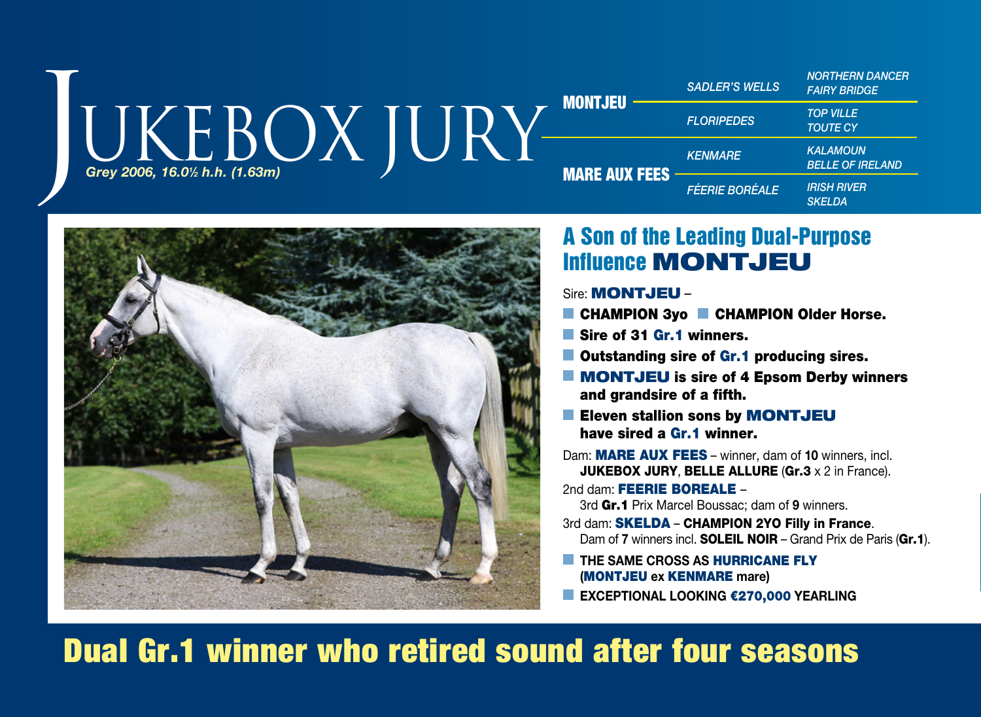|  | MONTJEU<br>Grey 2006, 16.01/2 h.h. (1.63m) |                      | <b>SADLER'S WELLS</b> | <b>NORTHERN DANCER</b><br><b>FAIRY BRIDGE</b> |
|--|--------------------------------------------|----------------------|-----------------------|-----------------------------------------------|
|  |                                            |                      | <b>FLORIPEDES</b>     | <b>TOP VILLE</b><br><b>TOUTE CY</b>           |
|  |                                            | <b>MARE AUX FEES</b> | <b>KENMARE</b>        | <b>KALAMOUN</b><br><b>BELLE OF IRELAND</b>    |
|  |                                            |                      | <b>FÉERIE BORÉALE</b> | <b>IRISH RIVER</b><br>SKELDA                  |



### A Son of the Leading Dual-Purpose Influence MONTJEU

Sire: MONTJEU –

- CHAMPION 3vo CHAMPION Older Horse.
- Sire of 31 Gr.1 winners.
- **Outstanding sire of Gr.1 producing sires.**
- **MONTJEU** is sire of 4 Epsom Derby winners and grandsire of a fifth.
- Eleven stallion sons by MONTJEU have sired a Gr.1 winner.
- Dam: MARE AUX FEES winner, dam of **10** winners, incl. **JUKEBOX JURY, BELLE ALLURE (Gr.3 x 2 in France).**

2nd dam: FEERIE BOREALE -3rd Gr.1 Prix Marcel Boussac; dam of **9** winners.

- 3rd dam: **SKELDA CHAMPION 2YO Filly in France.**
- Dam of **7** winners incl. **SOLEIL NOIR** Grand Prix de Paris (Gr.1).
- **THE SAME CROSS AS HURRICANE FLY (**MONTJEU **ex** KENMARE **mare)**
- **EXCEPTIONAL LOOKING** €270,000 **YEARLING**

# Dual Gr.1 winner who retired sound after four seasons